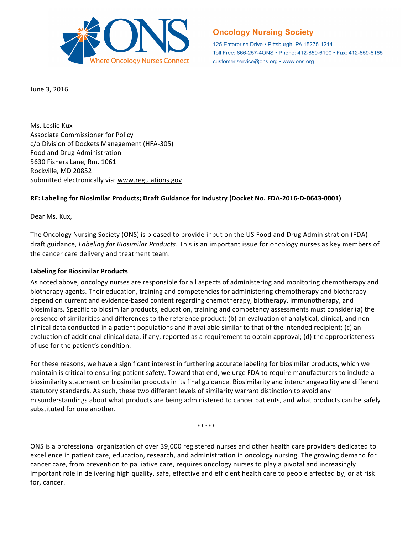

## **Oncology Nursing Society**

125 Enterprise Drive · Pittsburgh, PA 15275-1214 Toll Free: 866-257-4ONS • Phone: 412-859-6100 • Fax: 412-859-6165 customer.service@ons.org • www.ons.org

June 3, 2016

Ms. Leslie Kux Associate Commissioner for Policy c/o Division of Dockets Management (HFA-305) Food and Drug Administration 5630 Fishers Lane, Rm. 1061 Rockville, MD 20852 Submitted electronically via: www.regulations.gov

## **RE: Labeling for Biosimilar Products; Draft Guidance for Industry (Docket No. FDA-2016-D-0643-0001)**

Dear Ms. Kux,

The Oncology Nursing Society (ONS) is pleased to provide input on the US Food and Drug Administration (FDA) draft guidance, *Labeling for Biosimilar Products*. This is an important issue for oncology nurses as key members of the cancer care delivery and treatment team.

## **Labeling for Biosimilar Products**

As noted above, oncology nurses are responsible for all aspects of administering and monitoring chemotherapy and biotherapy agents. Their education, training and competencies for administering chemotherapy and biotherapy depend on current and evidence-based content regarding chemotherapy, biotherapy, immunotherapy, and biosimilars. Specific to biosimilar products, education, training and competency assessments must consider (a) the presence of similarities and differences to the reference product; (b) an evaluation of analytical, clinical, and nonclinical data conducted in a patient populations and if available similar to that of the intended recipient; (c) an evaluation of additional clinical data, if any, reported as a requirement to obtain approval; (d) the appropriateness of use for the patient's condition.

For these reasons, we have a significant interest in furthering accurate labeling for biosimilar products, which we maintain is critical to ensuring patient safety. Toward that end, we urge FDA to require manufacturers to include a biosimilarity statement on biosimilar products in its final guidance. Biosimilarity and interchangeability are different statutory standards. As such, these two different levels of similarity warrant distinction to avoid any misunderstandings about what products are being administered to cancer patients, and what products can be safely substituted for one another.

\*\*\*\*\*

ONS is a professional organization of over 39,000 registered nurses and other health care providers dedicated to excellence in patient care, education, research, and administration in oncology nursing. The growing demand for cancer care, from prevention to palliative care, requires oncology nurses to play a pivotal and increasingly important role in delivering high quality, safe, effective and efficient health care to people affected by, or at risk for, cancer.